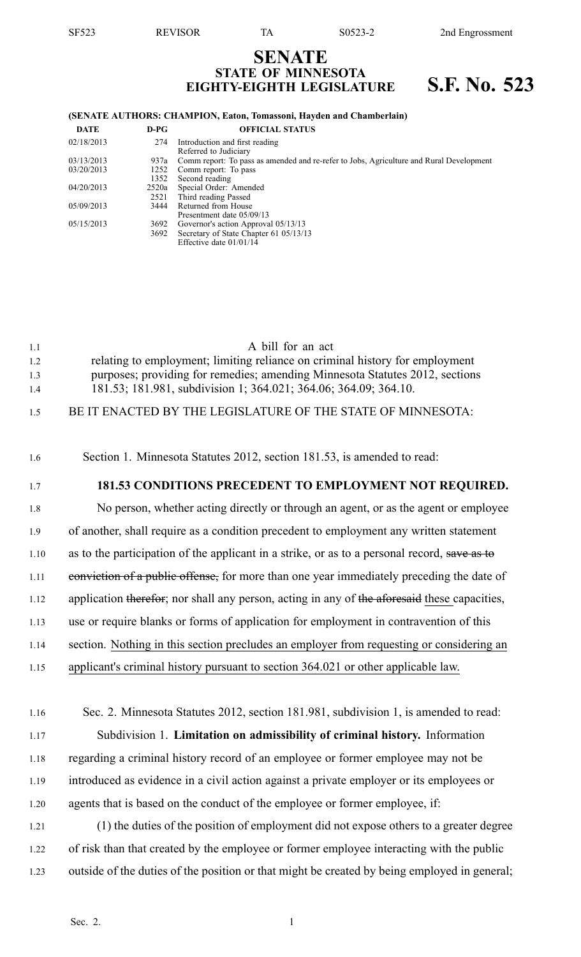# **SENATE STATE OF MINNESOTA EIGHTY-EIGHTH LEGISLATURE S.F. No. 523**

#### **(SENATE AUTHORS: CHAMPION, Eaton, Tomassoni, Hayden and Chamberlain)**

| DATE       | $D-PG$ | <b>OFFICIAL STATUS</b>                                                                  |
|------------|--------|-----------------------------------------------------------------------------------------|
| 02/18/2013 | 274    | Introduction and first reading                                                          |
|            |        | Referred to Judiciary                                                                   |
| 03/13/2013 | 937a   | Comm report: To pass as amended and re-refer to Jobs, Agriculture and Rural Development |
| 03/20/2013 | 1252   | Comm report: To pass                                                                    |
|            | 1352   | Second reading                                                                          |
| 04/20/2013 | 2520a  | Special Order: Amended                                                                  |
|            | 2521   | Third reading Passed                                                                    |
| 05/09/2013 | 3444   | Returned from House                                                                     |
|            |        | Presentment date 05/09/13                                                               |
| 05/15/2013 | 3692   | Governor's action Approval 05/13/13                                                     |
|            | 3692   | Secretary of State Chapter 61 05/13/13                                                  |
|            |        | Effective date $01/01/14$                                                               |

| 1.1 | A bill for an act                                                            |
|-----|------------------------------------------------------------------------------|
| 1.2 | relating to employment; limiting reliance on criminal history for employment |
| 1.3 | purposes; providing for remedies; amending Minnesota Statutes 2012, sections |
| 1.4 | 181.53; 181.981, subdivision 1; 364.021; 364.06; 364.09; 364.10.             |
| 1.5 | BE IT ENACTED BY THE LEGISLATURE OF THE STATE OF MINNESOTA:                  |

# 1.6 Section 1. Minnesota Statutes 2012, section 181.53, is amended to read:

### 1.7 **181.53 CONDITIONS PRECEDENT TO EMPLOYMENT NOT REQUIRED.**

1.8 No person, whether acting directly or through an agent, or as the agen<sup>t</sup> or employee 1.9 of another, shall require as <sup>a</sup> condition precedent to employment any written statement 1.10 as to the participation of the applicant in a strike, or as to a personal record, save as to 1.11 conviction of a public offense, for more than one year immediately preceding the date of 1.12 application therefor; nor shall any person, acting in any of the aforesaid these capacities, 1.13 use or require blanks or forms of application for employment in contravention of this 1.14 section. Nothing in this section precludes an employer from requesting or considering an 1.15 applicant's criminal history pursuan<sup>t</sup> to section 364.021 or other applicable law.

- 1.16 Sec. 2. Minnesota Statutes 2012, section 181.981, subdivision 1, is amended to read: 1.17 Subdivision 1. **Limitation on admissibility of criminal history.** Information 1.18 regarding <sup>a</sup> criminal history record of an employee or former employee may not be 1.19 introduced as evidence in <sup>a</sup> civil action against <sup>a</sup> private employer or its employees or 1.20 agents that is based on the conduct of the employee or former employee, if: 1.21 (1) the duties of the position of employment did not expose others to <sup>a</sup> greater degree 1.22 of risk than that created by the employee or former employee interacting with the public
- 1.23 outside of the duties of the position or that might be created by being employed in general;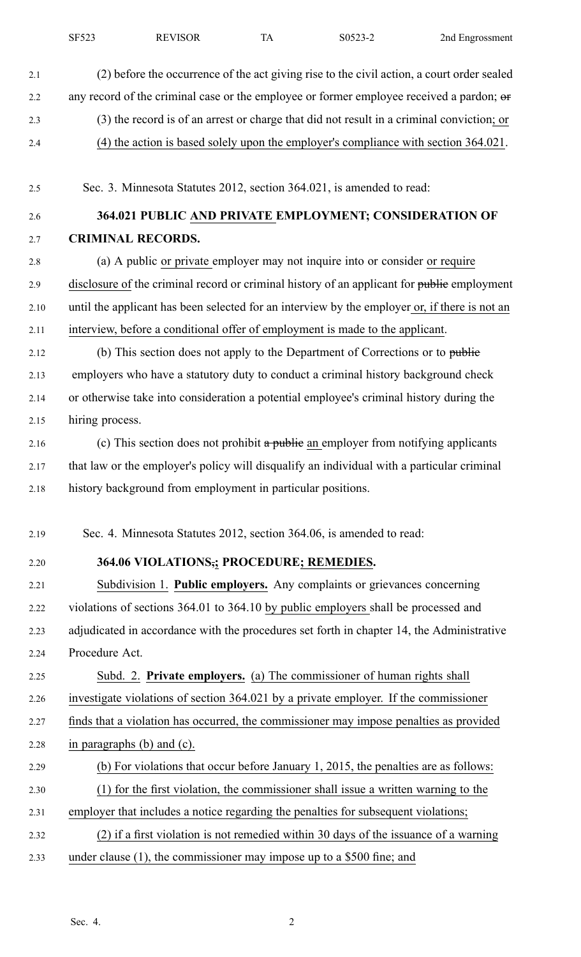| 2.1  | (2) before the occurrence of the act giving rise to the civil action, a court order sealed    |
|------|-----------------------------------------------------------------------------------------------|
| 2.2  | any record of the criminal case or the employee or former employee received a pardon; or      |
| 2.3  | (3) the record is of an arrest or charge that did not result in a criminal conviction; or     |
| 2.4  | (4) the action is based solely upon the employer's compliance with section 364.021.           |
| 2.5  | Sec. 3. Minnesota Statutes 2012, section 364.021, is amended to read:                         |
| 2.6  | 364.021 PUBLIC AND PRIVATE EMPLOYMENT; CONSIDERATION OF                                       |
| 2.7  | <b>CRIMINAL RECORDS.</b>                                                                      |
| 2.8  | (a) A public or private employer may not inquire into or consider or require                  |
| 2.9  | disclosure of the criminal record or criminal history of an applicant for public employment   |
| 2.10 | until the applicant has been selected for an interview by the employer or, if there is not an |
| 2.11 | interview, before a conditional offer of employment is made to the applicant.                 |
| 2.12 | (b) This section does not apply to the Department of Corrections or to public                 |
| 2.13 | employers who have a statutory duty to conduct a criminal history background check            |
| 2.14 | or otherwise take into consideration a potential employee's criminal history during the       |
| 2.15 | hiring process.                                                                               |
| 2.16 | (c) This section does not prohibit a public an employer from notifying applicants             |
| 2.17 | that law or the employer's policy will disqualify an individual with a particular criminal    |
| 2.18 | history background from employment in particular positions.                                   |
| 2.19 | Sec. 4. Minnesota Statutes 2012, section 364.06, is amended to read:                          |
| 2.20 | 364.06 VIOLATIONS; PROCEDURE; REMEDIES.                                                       |
| 2.21 | Subdivision 1. Public employers. Any complaints or grievances concerning                      |
| 2.22 | violations of sections 364.01 to 364.10 by public employers shall be processed and            |
| 2.23 | adjudicated in accordance with the procedures set forth in chapter 14, the Administrative     |
| 2.24 | Procedure Act.                                                                                |
| 2.25 | Subd. 2. Private employers. (a) The commissioner of human rights shall                        |
| 2.26 | investigate violations of section 364.021 by a private employer. If the commissioner          |
| 2.27 | finds that a violation has occurred, the commissioner may impose penalties as provided        |
| 2.28 | in paragraphs $(b)$ and $(c)$ .                                                               |
| 2.29 | (b) For violations that occur before January 1, 2015, the penalties are as follows:           |
| 2.30 | (1) for the first violation, the commissioner shall issue a written warning to the            |
| 2.31 | employer that includes a notice regarding the penalties for subsequent violations;            |
| 2.32 | (2) if a first violation is not remedied within 30 days of the issuance of a warning          |
| 2.33 | under clause $(1)$ , the commissioner may impose up to a \$500 fine; and                      |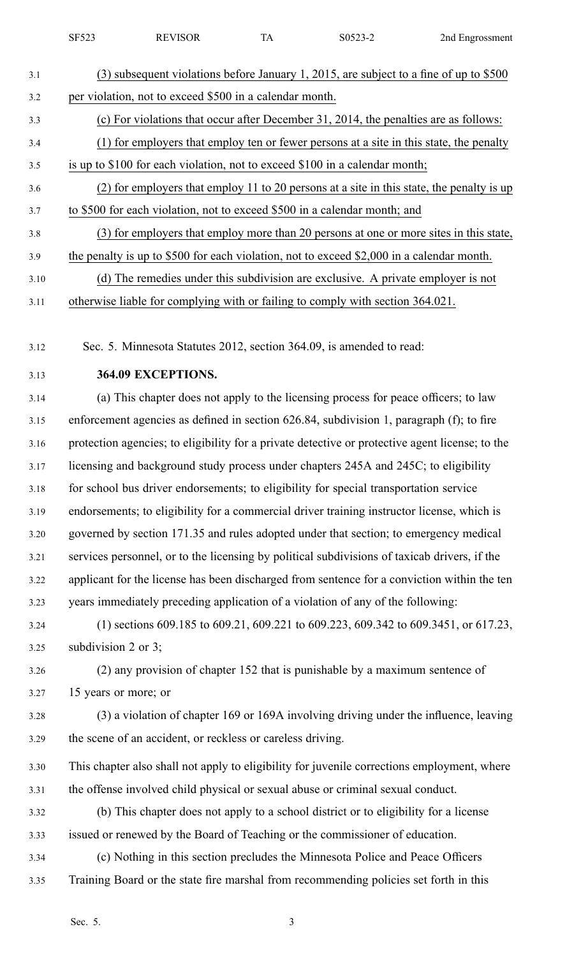| SF523 | <b>REVISOR</b> | S0523-2 | 2nd Engrossment |
|-------|----------------|---------|-----------------|
|       |                |         |                 |

| 3.1  | (3) subsequent violations before January 1, 2015, are subject to a fine of up to \$500    |
|------|-------------------------------------------------------------------------------------------|
| 3.2  | per violation, not to exceed \$500 in a calendar month.                                   |
| 3.3  | (c) For violations that occur after December 31, 2014, the penalties are as follows:      |
| 3.4  | (1) for employers that employ ten or fewer persons at a site in this state, the penalty   |
| 3.5  | is up to \$100 for each violation, not to exceed \$100 in a calendar month;               |
| 3.6  | (2) for employers that employ 11 to 20 persons at a site in this state, the penalty is up |
| 3.7  | to \$500 for each violation, not to exceed \$500 in a calendar month; and                 |
| 3.8  | (3) for employers that employ more than 20 persons at one or more sites in this state,    |
| 3.9  | the penalty is up to \$500 for each violation, not to exceed \$2,000 in a calendar month. |
| 3.10 | (d) The remedies under this subdivision are exclusive. A private employer is not          |
|      |                                                                                           |

3.11 otherwise liable for complying with or failing to comply with section 364.021.

3.12 Sec. 5. Minnesota Statutes 2012, section 364.09, is amended to read:

## 3.13 **364.09 EXCEPTIONS.**

3.14 (a) This chapter does not apply to the licensing process for peace officers; to law 3.15 enforcement agencies as defined in section 626.84, subdivision 1, paragraph (f); to fire 3.16 protection agencies; to eligibility for <sup>a</sup> private detective or protective agen<sup>t</sup> license; to the 3.17 licensing and background study process under chapters 245A and 245C; to eligibility 3.18 for school bus driver endorsements; to eligibility for special transportation service 3.19 endorsements; to eligibility for <sup>a</sup> commercial driver training instructor license, which is 3.20 governed by section 171.35 and rules adopted under that section; to emergency medical 3.21 services personnel, or to the licensing by political subdivisions of taxicab drivers, if the 3.22 applicant for the license has been discharged from sentence for <sup>a</sup> conviction within the ten 3.23 years immediately preceding application of <sup>a</sup> violation of any of the following:

3.24 (1) sections 609.185 to 609.21, 609.221 to 609.223, 609.342 to 609.3451, or 617.23, 3.25 subdivision 2 or 3;

3.26 (2) any provision of chapter 152 that is punishable by <sup>a</sup> maximum sentence of 3.27 15 years or more; or

3.28 (3) <sup>a</sup> violation of chapter 169 or 169A involving driving under the influence, leaving 3.29 the scene of an accident, or reckless or careless driving.

- 3.30 This chapter also shall not apply to eligibility for juvenile corrections employment, where 3.31 the offense involved child physical or sexual abuse or criminal sexual conduct.
- 3.32 (b) This chapter does not apply to <sup>a</sup> school district or to eligibility for <sup>a</sup> license 3.33 issued or renewed by the Board of Teaching or the commissioner of education.
- 3.34 (c) Nothing in this section precludes the Minnesota Police and Peace Officers 3.35 Training Board or the state fire marshal from recommending policies set forth in this